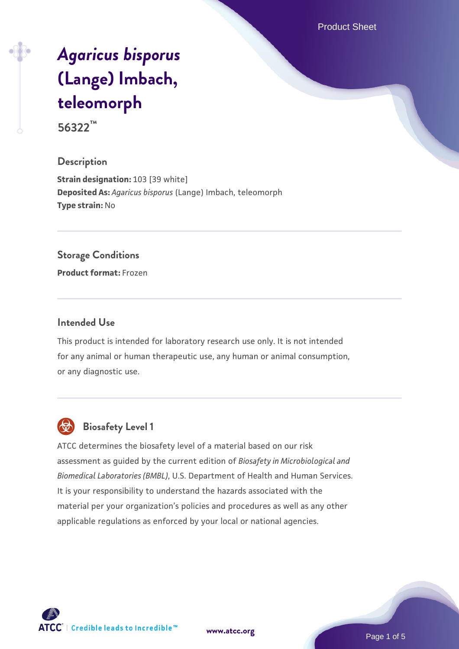Product Sheet

# *[Agaricus bisporus](https://www.atcc.org/products/56322)* **[\(Lange\) Imbach,](https://www.atcc.org/products/56322) [teleomorph](https://www.atcc.org/products/56322)**

# **56322™**

#### **Description**

**Strain designation: 103 [39 white] Deposited As:** *Agaricus bisporus* (Lange) Imbach, teleomorph **Type strain:** No

#### **Storage Conditions**

**Product format:** Frozen

#### **Intended Use**

This product is intended for laboratory research use only. It is not intended for any animal or human therapeutic use, any human or animal consumption, or any diagnostic use.



# **Biosafety Level 1**

ATCC determines the biosafety level of a material based on our risk assessment as guided by the current edition of *Biosafety in Microbiological and Biomedical Laboratories (BMBL)*, U.S. Department of Health and Human Services. It is your responsibility to understand the hazards associated with the material per your organization's policies and procedures as well as any other applicable regulations as enforced by your local or national agencies.

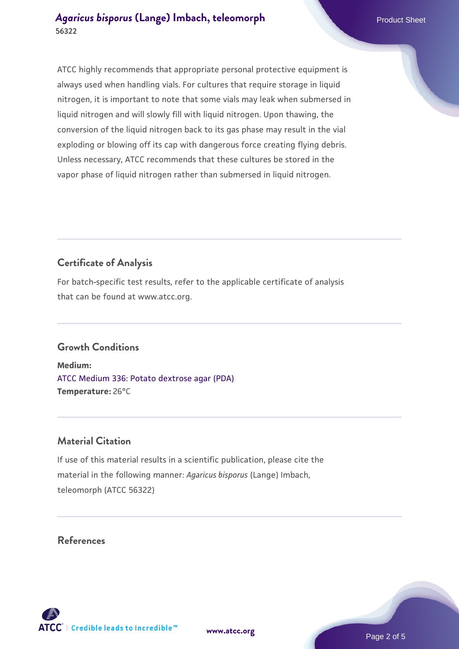ATCC highly recommends that appropriate personal protective equipment is always used when handling vials. For cultures that require storage in liquid nitrogen, it is important to note that some vials may leak when submersed in liquid nitrogen and will slowly fill with liquid nitrogen. Upon thawing, the conversion of the liquid nitrogen back to its gas phase may result in the vial exploding or blowing off its cap with dangerous force creating flying debris. Unless necessary, ATCC recommends that these cultures be stored in the vapor phase of liquid nitrogen rather than submersed in liquid nitrogen.

# **Certificate of Analysis**

For batch-specific test results, refer to the applicable certificate of analysis that can be found at www.atcc.org.

## **Growth Conditions**

**Medium:**  [ATCC Medium 336: Potato dextrose agar \(PDA\)](https://www.atcc.org/-/media/product-assets/documents/microbial-media-formulations/3/3/6/atcc-medium-336.pdf?rev=d9160ad44d934cd8b65175461abbf3b9) **Temperature:** 26°C

## **Material Citation**

If use of this material results in a scientific publication, please cite the material in the following manner: *Agaricus bisporus* (Lange) Imbach, teleomorph (ATCC 56322)

**[www.atcc.org](http://www.atcc.org)**

## **References**

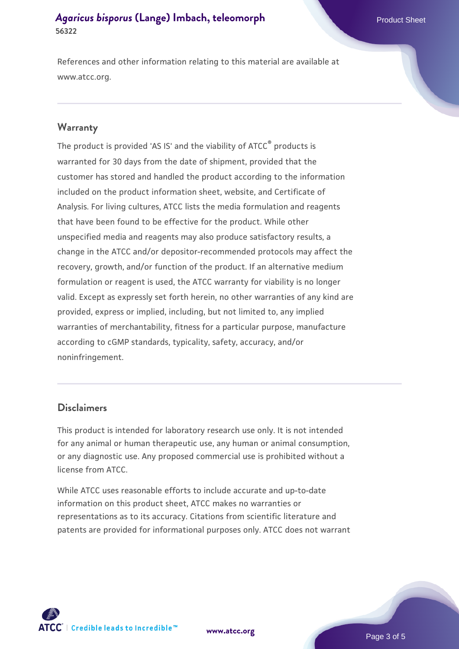References and other information relating to this material are available at www.atcc.org.

#### **Warranty**

The product is provided 'AS IS' and the viability of ATCC® products is warranted for 30 days from the date of shipment, provided that the customer has stored and handled the product according to the information included on the product information sheet, website, and Certificate of Analysis. For living cultures, ATCC lists the media formulation and reagents that have been found to be effective for the product. While other unspecified media and reagents may also produce satisfactory results, a change in the ATCC and/or depositor-recommended protocols may affect the recovery, growth, and/or function of the product. If an alternative medium formulation or reagent is used, the ATCC warranty for viability is no longer valid. Except as expressly set forth herein, no other warranties of any kind are provided, express or implied, including, but not limited to, any implied warranties of merchantability, fitness for a particular purpose, manufacture according to cGMP standards, typicality, safety, accuracy, and/or noninfringement.

#### **Disclaimers**

This product is intended for laboratory research use only. It is not intended for any animal or human therapeutic use, any human or animal consumption, or any diagnostic use. Any proposed commercial use is prohibited without a license from ATCC.

While ATCC uses reasonable efforts to include accurate and up-to-date information on this product sheet, ATCC makes no warranties or representations as to its accuracy. Citations from scientific literature and patents are provided for informational purposes only. ATCC does not warrant



**[www.atcc.org](http://www.atcc.org)**

Page 3 of 5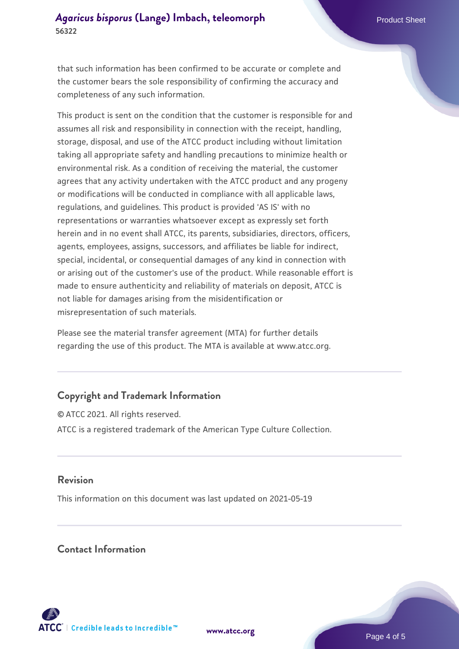that such information has been confirmed to be accurate or complete and the customer bears the sole responsibility of confirming the accuracy and completeness of any such information.

This product is sent on the condition that the customer is responsible for and assumes all risk and responsibility in connection with the receipt, handling, storage, disposal, and use of the ATCC product including without limitation taking all appropriate safety and handling precautions to minimize health or environmental risk. As a condition of receiving the material, the customer agrees that any activity undertaken with the ATCC product and any progeny or modifications will be conducted in compliance with all applicable laws, regulations, and guidelines. This product is provided 'AS IS' with no representations or warranties whatsoever except as expressly set forth herein and in no event shall ATCC, its parents, subsidiaries, directors, officers, agents, employees, assigns, successors, and affiliates be liable for indirect, special, incidental, or consequential damages of any kind in connection with or arising out of the customer's use of the product. While reasonable effort is made to ensure authenticity and reliability of materials on deposit, ATCC is not liable for damages arising from the misidentification or misrepresentation of such materials.

Please see the material transfer agreement (MTA) for further details regarding the use of this product. The MTA is available at www.atcc.org.

## **Copyright and Trademark Information**

© ATCC 2021. All rights reserved. ATCC is a registered trademark of the American Type Culture Collection.

#### **Revision**

This information on this document was last updated on 2021-05-19

### **Contact Information**



**[www.atcc.org](http://www.atcc.org)**

Page 4 of 5